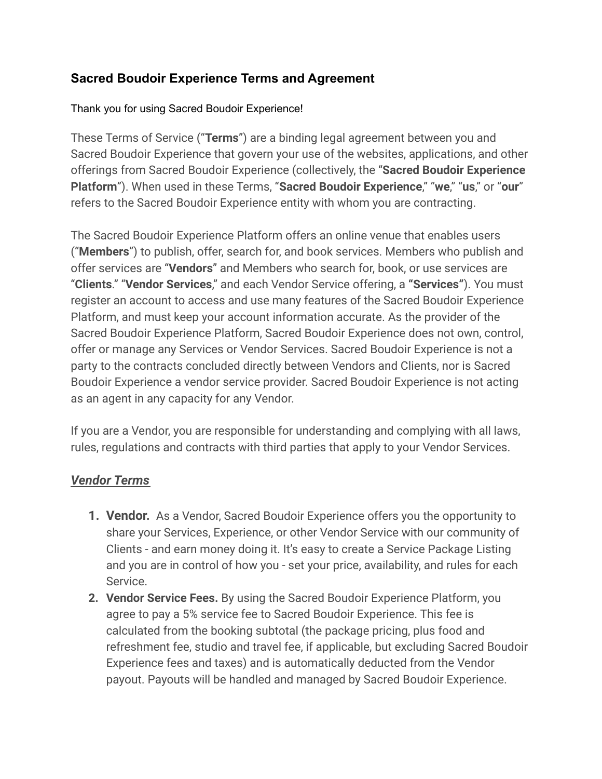# **Sacred Boudoir Experience Terms and Agreement**

### Thank you for using Sacred Boudoir Experience!

These Terms of Service ("**Terms**") are a binding legal agreement between you and Sacred Boudoir Experience that govern your use of the websites, applications, and other offerings from Sacred Boudoir Experience (collectively, the "**Sacred Boudoir Experience Platform**"). When used in these Terms, "**Sacred Boudoir Experience**," "**we**," "**us**," or "**our**" refers to the Sacred Boudoir Experience entity with whom you are contracting.

The Sacred Boudoir Experience Platform offers an online venue that enables users ("**Members**") to publish, offer, search for, and book services. Members who publish and offer services are "**Vendors**" and Members who search for, book, or use services are "**Clients**." "**Vendor Services**," and each Vendor Service offering, a **"Services"**). You must register an account to access and use many features of the Sacred Boudoir Experience Platform, and must keep your account information accurate. As the provider of the Sacred Boudoir Experience Platform, Sacred Boudoir Experience does not own, control, offer or manage any Services or Vendor Services. Sacred Boudoir Experience is not a party to the contracts concluded directly between Vendors and Clients, nor is Sacred Boudoir Experience a vendor service provider. Sacred Boudoir Experience is not acting as an agent in any capacity for any Vendor.

If you are a Vendor, you are responsible for understanding and complying with all laws, rules, regulations and contracts with third parties that apply to your Vendor Services.

# *Vendor Terms*

- **1. Vendor.** As a Vendor, Sacred Boudoir Experience offers you the opportunity to share your Services, Experience, or other Vendor Service with our community of Clients - and earn money doing it. It's easy to create a Service Package Listing and you are in control of how you - set your price, availability, and rules for each Service.
- **2. Vendor Service Fees.** By using the Sacred Boudoir Experience Platform, you agree to pay a 5% service fee to Sacred Boudoir Experience. This fee is calculated from the booking subtotal (the package pricing, plus food and refreshment fee, studio and travel fee, if applicable, but excluding Sacred Boudoir Experience fees and taxes) and is automatically deducted from the Vendor payout. Payouts will be handled and managed by Sacred Boudoir Experience.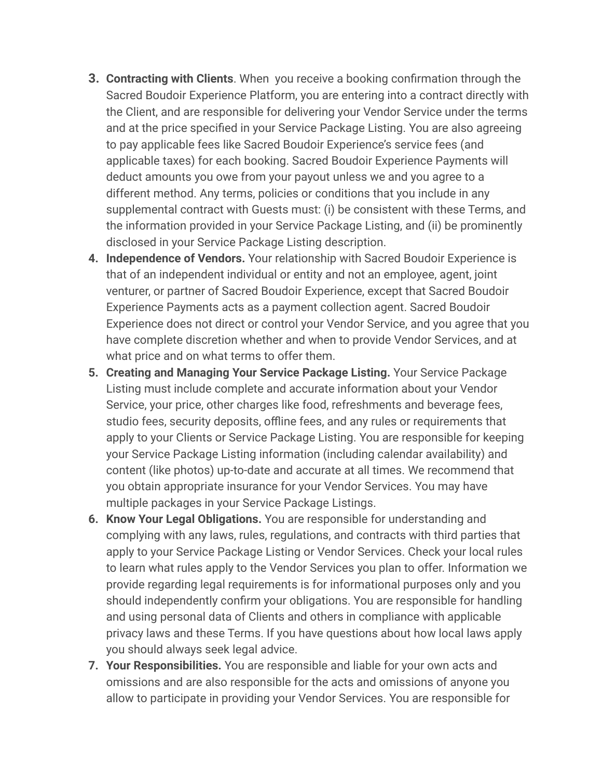- **3. Contracting with Clients**. When you receive a booking confirmation through the Sacred Boudoir Experience Platform, you are entering into a contract directly with the Client, and are responsible for delivering your Vendor Service under the terms and at the price specified in your Service Package Listing. You are also agreeing to pay applicable fees like Sacred Boudoir Experience's service fees (and applicable taxes) for each booking. Sacred Boudoir Experience Payments will deduct amounts you owe from your payout unless we and you agree to a different method. Any terms, policies or conditions that you include in any supplemental contract with Guests must: (i) be consistent with these Terms, and the information provided in your Service Package Listing, and (ii) be prominently disclosed in your Service Package Listing description.
- **4. Independence of Vendors.** Your relationship with Sacred Boudoir Experience is that of an independent individual or entity and not an employee, agent, joint venturer, or partner of Sacred Boudoir Experience, except that Sacred Boudoir Experience Payments acts as a payment collection agent. Sacred Boudoir Experience does not direct or control your Vendor Service, and you agree that you have complete discretion whether and when to provide Vendor Services, and at what price and on what terms to offer them.
- **5. Creating and Managing Your Service Package Listing.** Your Service Package Listing must include complete and accurate information about your Vendor Service, your price, other charges like food, refreshments and beverage fees, studio fees, security deposits, offline fees, and any rules or requirements that apply to your Clients or Service Package Listing. You are responsible for keeping your Service Package Listing information (including calendar availability) and content (like photos) up-to-date and accurate at all times. We recommend that you obtain appropriate insurance for your Vendor Services. You may have multiple packages in your Service Package Listings.
- **6. Know Your Legal Obligations.** You are responsible for understanding and complying with any laws, rules, regulations, and contracts with third parties that apply to your Service Package Listing or Vendor Services. Check your local rules to learn what rules apply to the Vendor Services you plan to offer. Information we provide regarding legal requirements is for informational purposes only and you should independently confirm your obligations. You are responsible for handling and using personal data of Clients and others in compliance with applicable privacy laws and these Terms. If you have questions about how local laws apply you should always seek legal advice.
- **7. Your Responsibilities.** You are responsible and liable for your own acts and omissions and are also responsible for the acts and omissions of anyone you allow to participate in providing your Vendor Services. You are responsible for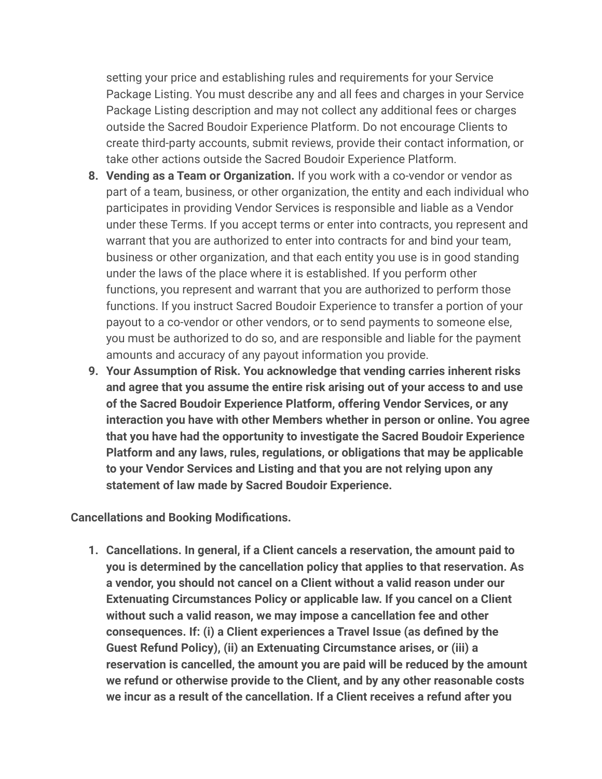setting your price and establishing rules and requirements for your Service Package Listing. You must describe any and all fees and charges in your Service Package Listing description and may not collect any additional fees or charges outside the Sacred Boudoir Experience Platform. Do not encourage Clients to create third-party accounts, submit reviews, provide their contact information, or take other actions outside the Sacred Boudoir Experience Platform.

- **8. Vending as a Team or Organization.** If you work with a co-vendor or vendor as part of a team, business, or other organization, the entity and each individual who participates in providing Vendor Services is responsible and liable as a Vendor under these Terms. If you accept terms or enter into contracts, you represent and warrant that you are authorized to enter into contracts for and bind your team, business or other organization, and that each entity you use is in good standing under the laws of the place where it is established. If you perform other functions, you represent and warrant that you are authorized to perform those functions. If you instruct Sacred Boudoir Experience to transfer a portion of your payout to a co-vendor or other vendors, or to send payments to someone else, you must be authorized to do so, and are responsible and liable for the payment amounts and accuracy of any payout information you provide.
- **9. Your Assumption of Risk. You acknowledge that vending carries inherent risks and agree that you assume the entire risk arising out of your access to and use of the Sacred Boudoir Experience Platform, offering Vendor Services, or any interaction you have with other Members whether in person or online. You agree that you have had the opportunity to investigate the Sacred Boudoir Experience Platform and any laws, rules, regulations, or obligations that may be applicable to your Vendor Services and Listing and that you are not relying upon any statement of law made by Sacred Boudoir Experience.**

**Cancellations and Booking Modifications.**

**1. Cancellations. In general, if a Client cancels a reservation, the amount paid to you is determined by the cancellation policy that applies to that reservation. As a vendor, you should not cancel on a Client without a valid reason under our Extenuating Circumstances Policy or applicable law. If you cancel on a Client without such a valid reason, we may impose a cancellation fee and other consequences. If: (i) a Client experiences a Travel Issue (as defined by the Guest Refund Policy), (ii) an Extenuating Circumstance arises, or (iii) a reservation is cancelled, the amount you are paid will be reduced by the amount we refund or otherwise provide to the Client, and by any other reasonable costs we incur as a result of the cancellation. If a Client receives a refund after you**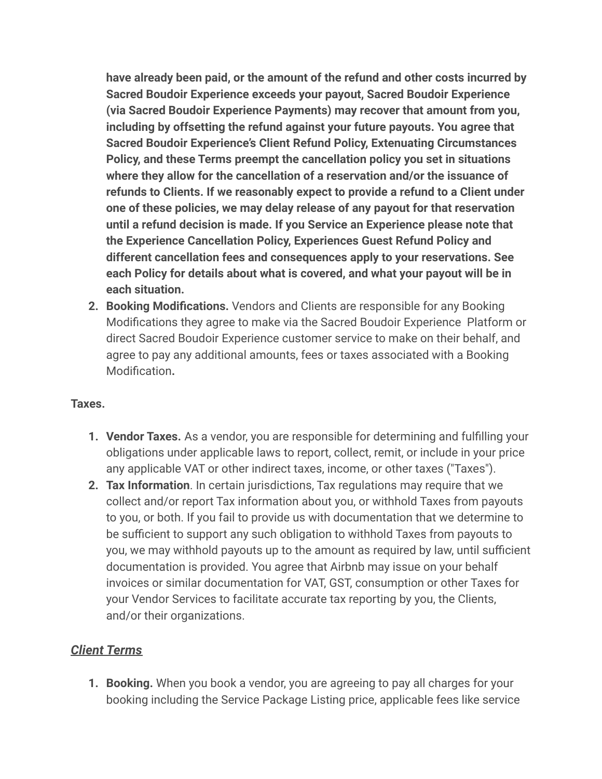**have already been paid, or the amount of the refund and other costs incurred by Sacred Boudoir Experience exceeds your payout, Sacred Boudoir Experience (via Sacred Boudoir Experience Payments) may recover that amount from you, including by offsetting the refund against your future payouts. You agree that Sacred Boudoir Experience's Client Refund Policy, Extenuating Circumstances Policy, and these Terms preempt the cancellation policy you set in situations where they allow for the cancellation of a reservation and/or the issuance of refunds to Clients. If we reasonably expect to provide a refund to a Client under one of these policies, we may delay release of any payout for that reservation until a refund decision is made. If you Service an Experience please note that the Experience Cancellation Policy, Experiences Guest Refund Policy and different cancellation fees and consequences apply to your reservations. See each Policy for details about what is covered, and what your payout will be in each situation.**

**2. Booking Modifications.** Vendors and Clients are responsible for any Booking Modifications they agree to make via the Sacred Boudoir Experience Platform or direct Sacred Boudoir Experience customer service to make on their behalf, and agree to pay any additional amounts, fees or taxes associated with a Booking Modification**.**

#### **Taxes.**

- **1. Vendor Taxes.** As a vendor, you are responsible for determining and fulfilling your obligations under applicable laws to report, collect, remit, or include in your price any applicable VAT or other indirect taxes, income, or other taxes ("Taxes").
- **2. Tax Information**. In certain jurisdictions, Tax regulations may require that we collect and/or report Tax information about you, or withhold Taxes from payouts to you, or both. If you fail to provide us with documentation that we determine to be sufficient to support any such obligation to withhold Taxes from payouts to you, we may withhold payouts up to the amount as required by law, until sufficient documentation is provided. You agree that Airbnb may issue on your behalf invoices or similar documentation for VAT, GST, consumption or other Taxes for your Vendor Services to facilitate accurate tax reporting by you, the Clients, and/or their organizations.

#### *Client Terms*

**1. Booking.** When you book a vendor, you are agreeing to pay all charges for your booking including the Service Package Listing price, applicable fees like service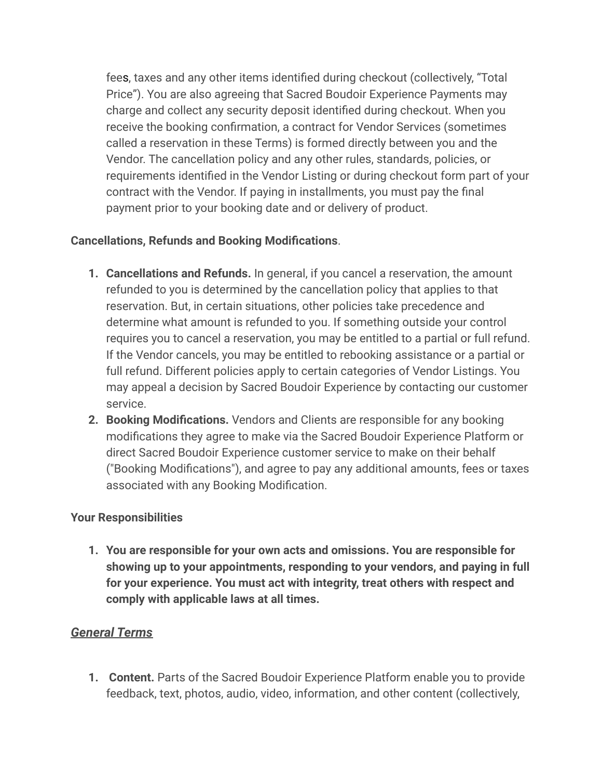fees, taxes and any other items identified during checkout (collectively, "Total Price"). You are also agreeing that Sacred Boudoir Experience Payments may charge and collect any security deposit identified during checkout. When you receive the booking confirmation, a contract for Vendor Services (sometimes called a reservation in these Terms) is formed directly between you and the Vendor. The cancellation policy and any other rules, standards, policies, or requirements identified in the Vendor Listing or during checkout form part of your contract with the Vendor. If paying in installments, you must pay the final payment prior to your booking date and or delivery of product.

### **Cancellations, Refunds and Booking Modifications**.

- **1. Cancellations and Refunds.** In general, if you cancel a reservation, the amount refunded to you is determined by the cancellation policy that applies to that reservation. But, in certain situations, other policies take precedence and determine what amount is refunded to you. If something outside your control requires you to cancel a reservation, you may be entitled to a partial or full refund. If the Vendor cancels, you may be entitled to rebooking assistance or a partial or full refund. Different policies apply to certain categories of Vendor Listings. You may appeal a decision by Sacred Boudoir Experience by contacting our customer service.
- **2. Booking Modifications.** Vendors and Clients are responsible for any booking modifications they agree to make via the Sacred Boudoir Experience Platform or direct Sacred Boudoir Experience customer service to make on their behalf ("Booking Modifications"), and agree to pay any additional amounts, fees or taxes associated with any Booking Modification.

#### **Your Responsibilities**

**1. You are responsible for your own acts and omissions. You are responsible for showing up to your appointments, responding to your vendors, and paying in full for your experience. You must act with integrity, treat others with respect and comply with applicable laws at all times.**

### *General Terms*

**1. Content.** Parts of the Sacred Boudoir Experience Platform enable you to provide feedback, text, photos, audio, video, information, and other content (collectively,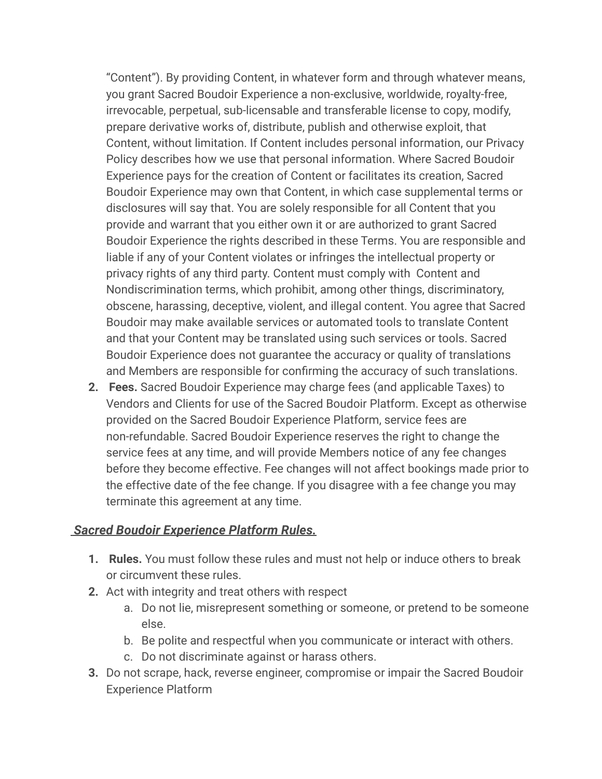"Content"). By providing Content, in whatever form and through whatever means, you grant Sacred Boudoir Experience a non-exclusive, worldwide, royalty-free, irrevocable, perpetual, sub-licensable and transferable license to copy, modify, prepare derivative works of, distribute, publish and otherwise exploit, that Content, without limitation. If Content includes personal information, our Privacy Policy describes how we use that personal information. Where Sacred Boudoir Experience pays for the creation of Content or facilitates its creation, Sacred Boudoir Experience may own that Content, in which case supplemental terms or disclosures will say that. You are solely responsible for all Content that you provide and warrant that you either own it or are authorized to grant Sacred Boudoir Experience the rights described in these Terms. You are responsible and liable if any of your Content violates or infringes the intellectual property or privacy rights of any third party. Content must comply with Content and Nondiscrimination terms, which prohibit, among other things, discriminatory, obscene, harassing, deceptive, violent, and illegal content. You agree that Sacred Boudoir may make available services or automated tools to translate Content and that your Content may be translated using such services or tools. Sacred Boudoir Experience does not guarantee the accuracy or quality of translations and Members are responsible for confirming the accuracy of such translations.

**2. Fees.** Sacred Boudoir Experience may charge fees (and applicable Taxes) to Vendors and Clients for use of the Sacred Boudoir Platform. Except as otherwise provided on the Sacred Boudoir Experience Platform, service fees are non-refundable. Sacred Boudoir Experience reserves the right to change the service fees at any time, and will provide Members notice of any fee changes before they become effective. Fee changes will not affect bookings made prior to the effective date of the fee change. If you disagree with a fee change you may terminate this agreement at any time.

#### *Sacred Boudoir Experience Platform Rules.*

- **1. Rules.** You must follow these rules and must not help or induce others to break or circumvent these rules.
- **2.** Act with integrity and treat others with respect
	- a. Do not lie, misrepresent something or someone, or pretend to be someone else.
	- b. Be polite and respectful when you communicate or interact with others.
	- c. Do not discriminate against or harass others.
- **3.** Do not scrape, hack, reverse engineer, compromise or impair the Sacred Boudoir Experience Platform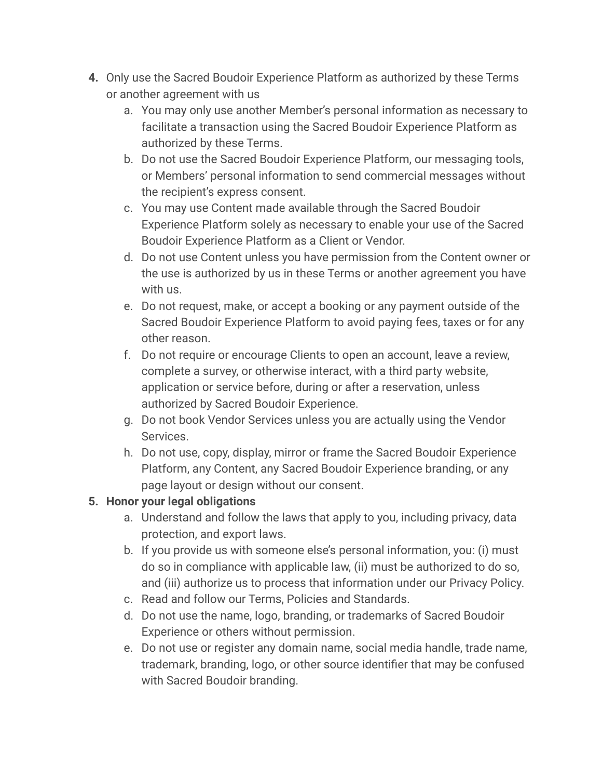- **4.** Only use the Sacred Boudoir Experience Platform as authorized by these Terms or another agreement with us
	- a. You may only use another Member's personal information as necessary to facilitate a transaction using the Sacred Boudoir Experience Platform as authorized by these Terms.
	- b. Do not use the Sacred Boudoir Experience Platform, our messaging tools, or Members' personal information to send commercial messages without the recipient's express consent.
	- c. You may use Content made available through the Sacred Boudoir Experience Platform solely as necessary to enable your use of the Sacred Boudoir Experience Platform as a Client or Vendor.
	- d. Do not use Content unless you have permission from the Content owner or the use is authorized by us in these Terms or another agreement you have with us.
	- e. Do not request, make, or accept a booking or any payment outside of the Sacred Boudoir Experience Platform to avoid paying fees, taxes or for any other reason.
	- f. Do not require or encourage Clients to open an account, leave a review, complete a survey, or otherwise interact, with a third party website, application or service before, during or after a reservation, unless authorized by Sacred Boudoir Experience.
	- g. Do not book Vendor Services unless you are actually using the Vendor Services.
	- h. Do not use, copy, display, mirror or frame the Sacred Boudoir Experience Platform, any Content, any Sacred Boudoir Experience branding, or any page layout or design without our consent.

# **5. Honor your legal obligations**

- a. Understand and follow the laws that apply to you, including privacy, data protection, and export laws.
- b. If you provide us with someone else's personal information, you: (i) must do so in compliance with applicable law, (ii) must be authorized to do so, and (iii) authorize us to process that information under our Privacy Policy.
- c. Read and follow our Terms, Policies and Standards.
- d. Do not use the name, logo, branding, or trademarks of Sacred Boudoir Experience or others without permission.
- e. Do not use or register any domain name, social media handle, trade name, trademark, branding, logo, or other source identifier that may be confused with Sacred Boudoir branding.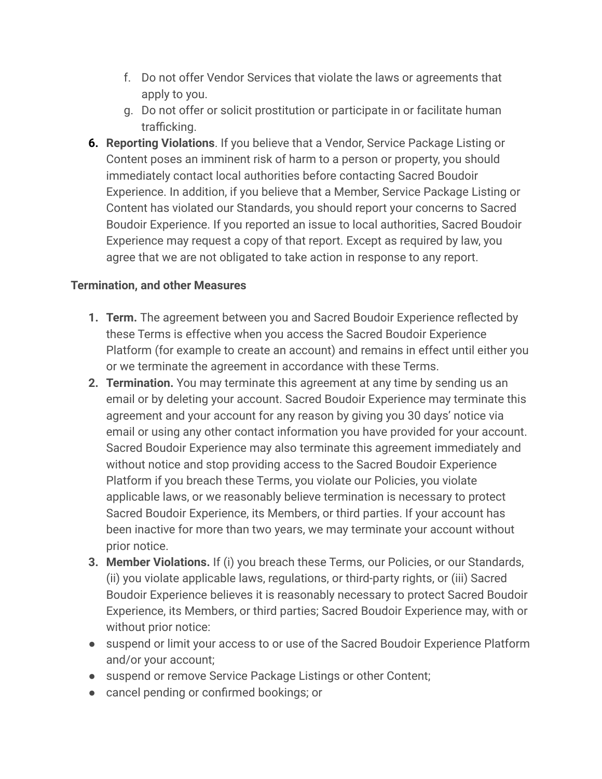- f. Do not offer Vendor Services that violate the laws or agreements that apply to you.
- g. Do not offer or solicit prostitution or participate in or facilitate human trafficking.
- **6. Reporting Violations**. If you believe that a Vendor, Service Package Listing or Content poses an imminent risk of harm to a person or property, you should immediately contact local authorities before contacting Sacred Boudoir Experience. In addition, if you believe that a Member, Service Package Listing or Content has violated our Standards, you should report your concerns to Sacred Boudoir Experience. If you reported an issue to local authorities, Sacred Boudoir Experience may request a copy of that report. Except as required by law, you agree that we are not obligated to take action in response to any report.

### **Termination, and other Measures**

- **1. Term.** The agreement between you and Sacred Boudoir Experience reflected by these Terms is effective when you access the Sacred Boudoir Experience Platform (for example to create an account) and remains in effect until either you or we terminate the agreement in accordance with these Terms.
- **2. Termination.** You may terminate this agreement at any time by sending us an email or by deleting your account. Sacred Boudoir Experience may terminate this agreement and your account for any reason by giving you 30 days' notice via email or using any other contact information you have provided for your account. Sacred Boudoir Experience may also terminate this agreement immediately and without notice and stop providing access to the Sacred Boudoir Experience Platform if you breach these Terms, you violate our Policies, you violate applicable laws, or we reasonably believe termination is necessary to protect Sacred Boudoir Experience, its Members, or third parties. If your account has been inactive for more than two years, we may terminate your account without prior notice.
- **3. Member Violations.** If (i) you breach these Terms, our Policies, or our Standards, (ii) you violate applicable laws, regulations, or third-party rights, or (iii) Sacred Boudoir Experience believes it is reasonably necessary to protect Sacred Boudoir Experience, its Members, or third parties; Sacred Boudoir Experience may, with or without prior notice:
- suspend or limit your access to or use of the Sacred Boudoir Experience Platform and/or your account;
- suspend or remove Service Package Listings or other Content;
- cancel pending or confirmed bookings; or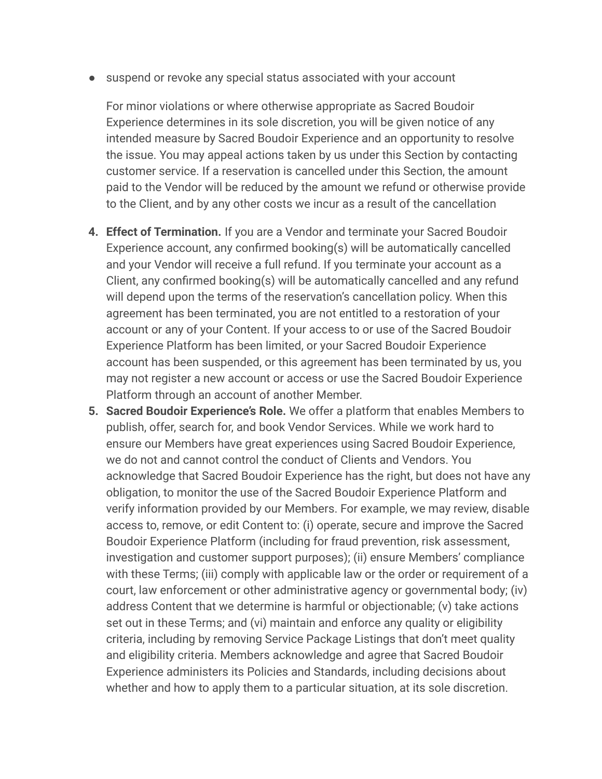● suspend or revoke any special status associated with your account

For minor violations or where otherwise appropriate as Sacred Boudoir Experience determines in its sole discretion, you will be given notice of any intended measure by Sacred Boudoir Experience and an opportunity to resolve the issue. You may appeal actions taken by us under this Section by contacting customer service. If a reservation is cancelled under this Section, the amount paid to the Vendor will be reduced by the amount we refund or otherwise provide to the Client, and by any other costs we incur as a result of the cancellation

- **4. Effect of Termination.** If you are a Vendor and terminate your Sacred Boudoir Experience account, any confirmed booking(s) will be automatically cancelled and your Vendor will receive a full refund. If you terminate your account as a Client, any confirmed booking(s) will be automatically cancelled and any refund will depend upon the terms of the reservation's cancellation policy. When this agreement has been terminated, you are not entitled to a restoration of your account or any of your Content. If your access to or use of the Sacred Boudoir Experience Platform has been limited, or your Sacred Boudoir Experience account has been suspended, or this agreement has been terminated by us, you may not register a new account or access or use the Sacred Boudoir Experience Platform through an account of another Member.
- **5. Sacred Boudoir Experience's Role.** We offer a platform that enables Members to publish, offer, search for, and book Vendor Services. While we work hard to ensure our Members have great experiences using Sacred Boudoir Experience, we do not and cannot control the conduct of Clients and Vendors. You acknowledge that Sacred Boudoir Experience has the right, but does not have any obligation, to monitor the use of the Sacred Boudoir Experience Platform and verify information provided by our Members. For example, we may review, disable access to, remove, or edit Content to: (i) operate, secure and improve the Sacred Boudoir Experience Platform (including for fraud prevention, risk assessment, investigation and customer support purposes); (ii) ensure Members' compliance with these Terms; (iii) comply with applicable law or the order or requirement of a court, law enforcement or other administrative agency or governmental body; (iv) address Content that we determine is harmful or objectionable; (v) take actions set out in these Terms; and (vi) maintain and enforce any quality or eligibility criteria, including by removing Service Package Listings that don't meet quality and eligibility criteria. Members acknowledge and agree that Sacred Boudoir Experience administers its Policies and Standards, including decisions about whether and how to apply them to a particular situation, at its sole discretion.